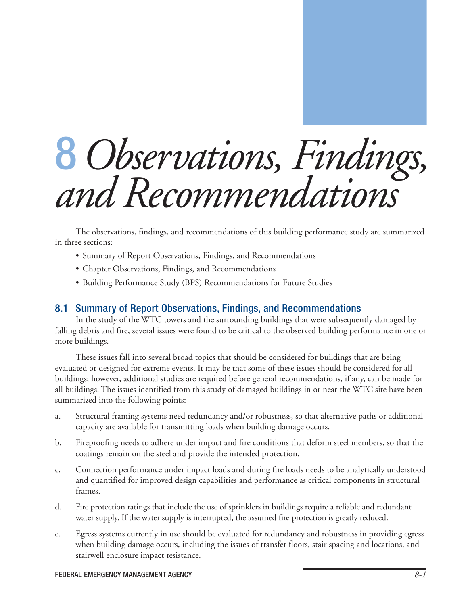# 8 *Observations, Findings, and Recommendations*

The observations, findings, and recommendations of this building performance study are summarized in three sections:

- Summary of Report Observations, Findings, and Recommendations
- Chapter Observations, Findings, and Recommendations
- Building Performance Study (BPS) Recommendations for Future Studies

## 8.1 Summary of Report Observations, Findings, and Recommendations

In the study of the WTC towers and the surrounding buildings that were subsequently damaged by falling debris and fire, several issues were found to be critical to the observed building performance in one or more buildings.

These issues fall into several broad topics that should be considered for buildings that are being evaluated or designed for extreme events. It may be that some of these issues should be considered for all buildings; however, additional studies are required before general recommendations, if any, can be made for all buildings. The issues identified from this study of damaged buildings in or near the WTC site have been summarized into the following points:

- a. Structural framing systems need redundancy and/or robustness, so that alternative paths or additional capacity are available for transmitting loads when building damage occurs.
- b. Fireproofing needs to adhere under impact and fire conditions that deform steel members, so that the coatings remain on the steel and provide the intended protection.
- c. Connection performance under impact loads and during fire loads needs to be analytically understood and quantified for improved design capabilities and performance as critical components in structural frames.
- d. Fire protection ratings that include the use of sprinklers in buildings require a reliable and redundant water supply. If the water supply is interrupted, the assumed fire protection is greatly reduced.
- e. Egress systems currently in use should be evaluated for redundancy and robustness in providing egress when building damage occurs, including the issues of transfer floors, stair spacing and locations, and stairwell enclosure impact resistance.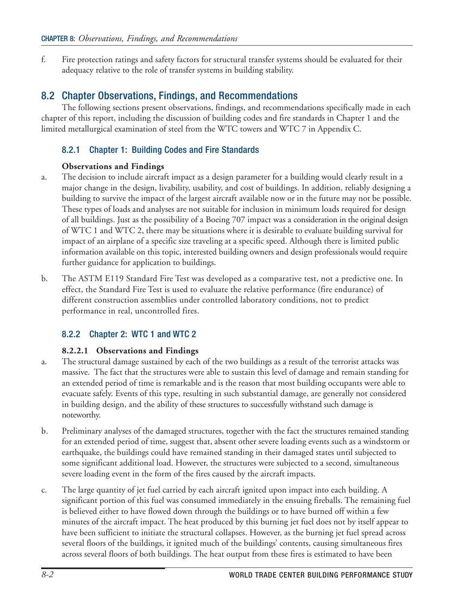f. Fire protection ratings and safety factors for structural transfer systems should be evaluated for their adequacy relative to the role of transfer systems in building stability.

# 8.2 Chapter Observations, Findings, and Recommendations

The following sections present observations, findings, and recommendations specifically made in each chapter of this report, including the discussion of building codes and fire standards in Chapter 1 and the limited metallurgical examination of steel from the WTC towers and WTC 7 in Appendix C.

## 8.2.1 Chapter 1: Building Codes and Fire Standards

#### **Observations and Findings**

- a. The decision to include aircraft impact as a design parameter for a building would clearly result in a major change in the design, livability, usability, and cost of buildings. In addition, reliably designing a building to survive the impact of the largest aircraft available now or in the future may not be possible. These types of loads and analyses are not suitable for inclusion in minimum loads required for design of all buildings. Just as the possibility of a Boeing 707 impact was a consideration in the original design of WTC 1 and WTC 2, there may be situations where it is desirable to evaluate building survival for impact of an airplane of a specific size traveling at a specific speed. Although there is limited public information available on this topic, interested building owners and design professionals would require further guidance for application to buildings.
- b. The ASTM E119 Standard Fire Test was developed as a comparative test, not a predictive one. In effect, the Standard Fire Test is used to evaluate the relative performance (fire endurance) of different construction assemblies under controlled laboratory conditions, not to predict performance in real, uncontrolled fires.

## 8.2.2 Chapter 2: WTC 1 and WTC 2

## **8.2.2.1 Observations and Findings**

- a. The structural damage sustained by each of the two buildings as a result of the terrorist attacks was massive. The fact that the structures were able to sustain this level of damage and remain standing for an extended period of time is remarkable and is the reason that most building occupants were able to evacuate safely. Events of this type, resulting in such substantial damage, are generally not considered in building design, and the ability of these structures to successfully withstand such damage is noteworthy.
- b. Preliminary analyses of the damaged structures, together with the fact the structures remained standing for an extended period of time, suggest that, absent other severe loading events such as a windstorm or earthquake, the buildings could have remained standing in their damaged states until subjected to some significant additional load. However, the structures were subjected to a second, simultaneous severe loading event in the form of the fires caused by the aircraft impacts.
- c. The large quantity of jet fuel carried by each aircraft ignited upon impact into each building. A significant portion of this fuel was consumed immediately in the ensuing fireballs. The remaining fuel is believed either to have flowed down through the buildings or to have burned off within a few minutes of the aircraft impact. The heat produced by this burning jet fuel does not by itself appear to have been sufficient to initiate the structural collapses. However, as the burning jet fuel spread across several floors of the buildings, it ignited much of the buildings' contents, causing simultaneous fires across several floors of both buildings. The heat output from these fires is estimated to have been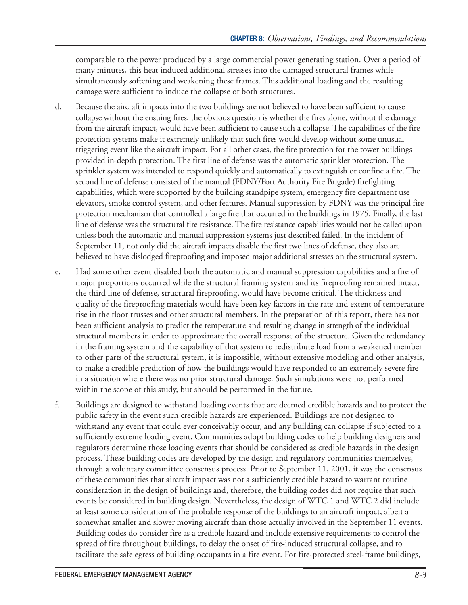comparable to the power produced by a large commercial power generating station. Over a period of many minutes, this heat induced additional stresses into the damaged structural frames while simultaneously softening and weakening these frames. This additional loading and the resulting damage were sufficient to induce the collapse of both structures.

- d. Because the aircraft impacts into the two buildings are not believed to have been sufficient to cause collapse without the ensuing fires, the obvious question is whether the fires alone, without the damage from the aircraft impact, would have been sufficient to cause such a collapse. The capabilities of the fire protection systems make it extremely unlikely that such fires would develop without some unusual triggering event like the aircraft impact. For all other cases, the fire protection for the tower buildings provided in-depth protection. The first line of defense was the automatic sprinkler protection. The sprinkler system was intended to respond quickly and automatically to extinguish or confine a fire. The second line of defense consisted of the manual (FDNY/Port Authority Fire Brigade) firefighting capabilities, which were supported by the building standpipe system, emergency fire department use elevators, smoke control system, and other features. Manual suppression by FDNY was the principal fire protection mechanism that controlled a large fire that occurred in the buildings in 1975. Finally, the last line of defense was the structural fire resistance. The fire resistance capabilities would not be called upon unless both the automatic and manual suppression systems just described failed. In the incident of September 11, not only did the aircraft impacts disable the first two lines of defense, they also are believed to have dislodged fireproofing and imposed major additional stresses on the structural system.
- e. Had some other event disabled both the automatic and manual suppression capabilities and a fire of major proportions occurred while the structural framing system and its fireproofing remained intact, the third line of defense, structural fireproofing, would have become critical. The thickness and quality of the fireproofing materials would have been key factors in the rate and extent of temperature rise in the floor trusses and other structural members. In the preparation of this report, there has not been sufficient analysis to predict the temperature and resulting change in strength of the individual structural members in order to approximate the overall response of the structure. Given the redundancy in the framing system and the capability of that system to redistribute load from a weakened member to other parts of the structural system, it is impossible, without extensive modeling and other analysis, to make a credible prediction of how the buildings would have responded to an extremely severe fire in a situation where there was no prior structural damage. Such simulations were not performed within the scope of this study, but should be performed in the future.
- f. Buildings are designed to withstand loading events that are deemed credible hazards and to protect the public safety in the event such credible hazards are experienced. Buildings are not designed to withstand any event that could ever conceivably occur, and any building can collapse if subjected to a sufficiently extreme loading event. Communities adopt building codes to help building designers and regulators determine those loading events that should be considered as credible hazards in the design process. These building codes are developed by the design and regulatory communities themselves, through a voluntary committee consensus process. Prior to September 11, 2001, it was the consensus of these communities that aircraft impact was not a sufficiently credible hazard to warrant routine consideration in the design of buildings and, therefore, the building codes did not require that such events be considered in building design. Nevertheless, the design of WTC 1 and WTC 2 did include at least some consideration of the probable response of the buildings to an aircraft impact, albeit a somewhat smaller and slower moving aircraft than those actually involved in the September 11 events. Building codes do consider fire as a credible hazard and include extensive requirements to control the spread of fire throughout buildings, to delay the onset of fire-induced structural collapse, and to facilitate the safe egress of building occupants in a fire event. For fire-protected steel-frame buildings,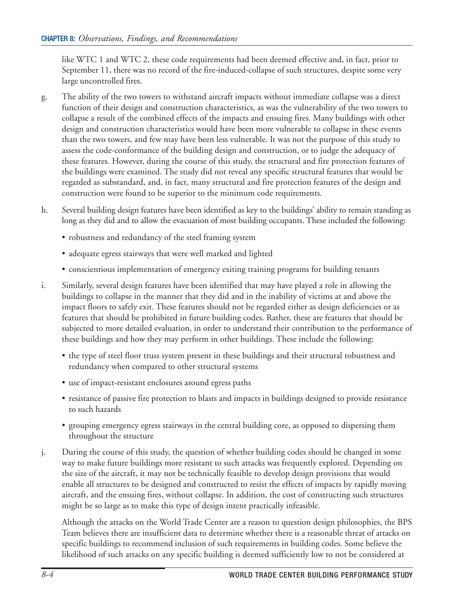like WTC 1 and WTC 2, these code requirements had been deemed effective and, in fact, prior to September 11, there was no record of the fire-induced-collapse of such structures, despite some very large uncontrolled fires.

- g. The ability of the two towers to withstand aircraft impacts without immediate collapse was a direct function of their design and construction characteristics, as was the vulnerability of the two towers to collapse a result of the combined effects of the impacts and ensuing fires. Many buildings with other design and construction characteristics would have been more vulnerable to collapse in these events than the two towers, and few may have been less vulnerable. It was not the purpose of this study to assess the code-conformance of the building design and construction, or to judge the adequacy of these features. However, during the course of this study, the structural and fire protection features of the buildings were examined. The study did not reveal any specific structural features that would be regarded as substandard, and, in fact, many structural and fire protection features of the design and construction were found to be superior to the minimum code requirements.
- h. Several building design features have been identified as key to the buildings' ability to remain standing as long as they did and to allow the evacuation of most building occupants. These included the following:
	- robustness and redundancy of the steel framing system
	- adequate egress stairways that were well marked and lighted
	- conscientious implementation of emergency exiting training programs for building tenants
- i. Similarly, several design features have been identified that may have played a role in allowing the buildings to collapse in the manner that they did and in the inability of victims at and above the impact floors to safely exit. These features should not be regarded either as design deficiencies or as features that should be prohibited in future building codes. Rather, these are features that should be subjected to more detailed evaluation, in order to understand their contribution to the performance of these buildings and how they may perform in other buildings. These include the following:
	- the type of steel floor truss system present in these buildings and their structural robustness and redundancy when compared to other structural systems
	- use of impact-resistant enclosures around egress paths
	- resistance of passive fire protection to blasts and impacts in buildings designed to provide resistance to such hazards
	- grouping emergency egress stairways in the central building core, as opposed to dispersing them throughout the structure
- j. During the course of this study, the question of whether building codes should be changed in some way to make future buildings more resistant to such attacks was frequently explored. Depending on the size of the aircraft, it may not be technically feasible to develop design provisions that would enable all structures to be designed and constructed to resist the effects of impacts by rapidly moving aircraft, and the ensuing fires, without collapse. In addition, the cost of constructing such structures might be so large as to make this type of design intent practically infeasible.

Although the attacks on the World Trade Center are a reason to question design philosophies, the BPS Team believes there are insufficient data to determine whether there is a reasonable threat of attacks on specific buildings to recommend inclusion of such requirements in building codes. Some believe the likelihood of such attacks on any specific building is deemed sufficiently low to not be considered at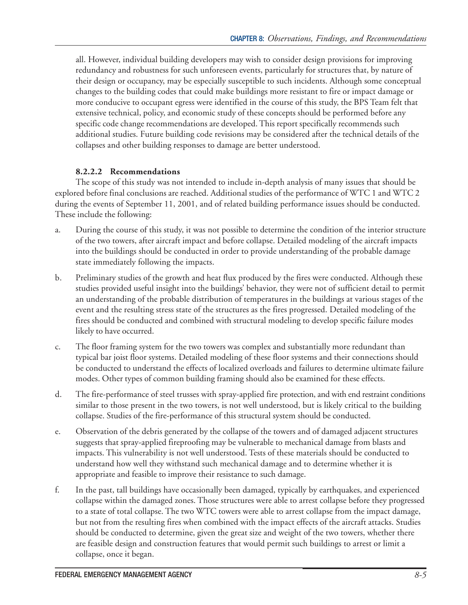all. However, individual building developers may wish to consider design provisions for improving redundancy and robustness for such unforeseen events, particularly for structures that, by nature of their design or occupancy, may be especially susceptible to such incidents. Although some conceptual changes to the building codes that could make buildings more resistant to fire or impact damage or more conducive to occupant egress were identified in the course of this study, the BPS Team felt that extensive technical, policy, and economic study of these concepts should be performed before any specific code change recommendations are developed. This report specifically recommends such additional studies. Future building code revisions may be considered after the technical details of the collapses and other building responses to damage are better understood.

#### **8.2.2.2 Recommendations**

The scope of this study was not intended to include in-depth analysis of many issues that should be explored before final conclusions are reached. Additional studies of the performance of WTC 1 and WTC 2 during the events of September 11, 2001, and of related building performance issues should be conducted. These include the following:

- a. During the course of this study, it was not possible to determine the condition of the interior structure of the two towers, after aircraft impact and before collapse. Detailed modeling of the aircraft impacts into the buildings should be conducted in order to provide understanding of the probable damage state immediately following the impacts.
- b. Preliminary studies of the growth and heat flux produced by the fires were conducted. Although these studies provided useful insight into the buildings' behavior, they were not of sufficient detail to permit an understanding of the probable distribution of temperatures in the buildings at various stages of the event and the resulting stress state of the structures as the fires progressed. Detailed modeling of the fires should be conducted and combined with structural modeling to develop specific failure modes likely to have occurred.
- c. The floor framing system for the two towers was complex and substantially more redundant than typical bar joist floor systems. Detailed modeling of these floor systems and their connections should be conducted to understand the effects of localized overloads and failures to determine ultimate failure modes. Other types of common building framing should also be examined for these effects.
- d. The fire-performance of steel trusses with spray-applied fire protection, and with end restraint conditions similar to those present in the two towers, is not well understood, but is likely critical to the building collapse. Studies of the fire-performance of this structural system should be conducted.
- e. Observation of the debris generated by the collapse of the towers and of damaged adjacent structures suggests that spray-applied fireproofing may be vulnerable to mechanical damage from blasts and impacts. This vulnerability is not well understood. Tests of these materials should be conducted to understand how well they withstand such mechanical damage and to determine whether it is appropriate and feasible to improve their resistance to such damage.
- f. In the past, tall buildings have occasionally been damaged, typically by earthquakes, and experienced collapse within the damaged zones. Those structures were able to arrest collapse before they progressed to a state of total collapse. The two WTC towers were able to arrest collapse from the impact damage, but not from the resulting fires when combined with the impact effects of the aircraft attacks. Studies should be conducted to determine, given the great size and weight of the two towers, whether there are feasible design and construction features that would permit such buildings to arrest or limit a collapse, once it began.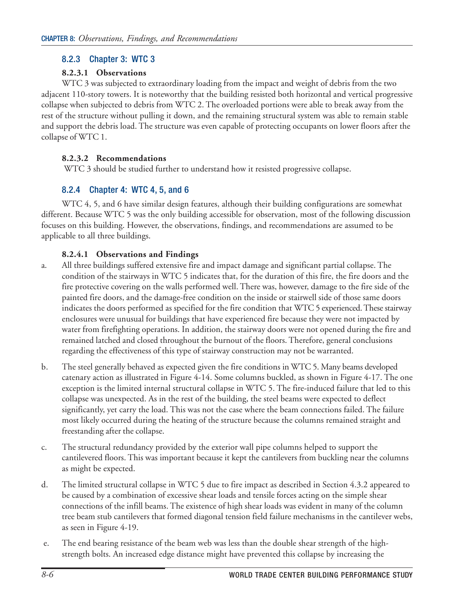## 8.2.3 Chapter 3: WTC 3

#### **8.2.3.1 Observations**

WTC 3 was subjected to extraordinary loading from the impact and weight of debris from the two adjacent 110-story towers. It is noteworthy that the building resisted both horizontal and vertical progressive collapse when subjected to debris from WTC 2. The overloaded portions were able to break away from the rest of the structure without pulling it down, and the remaining structural system was able to remain stable and support the debris load. The structure was even capable of protecting occupants on lower floors after the collapse of WTC 1.

#### **8.2.3.2 Recommendations**

WTC 3 should be studied further to understand how it resisted progressive collapse.

## 8.2.4 Chapter 4: WTC 4, 5, and 6

WTC 4, 5, and 6 have similar design features, although their building configurations are somewhat different. Because WTC 5 was the only building accessible for observation, most of the following discussion focuses on this building. However, the observations, findings, and recommendations are assumed to be applicable to all three buildings.

#### **8.2.4.1 Observations and Findings**

- a. All three buildings suffered extensive fire and impact damage and significant partial collapse. The condition of the stairways in WTC 5 indicates that, for the duration of this fire, the fire doors and the fire protective covering on the walls performed well. There was, however, damage to the fire side of the painted fire doors, and the damage-free condition on the inside or stairwell side of those same doors indicates the doors performed as specified for the fire condition that WTC 5 experienced. These stairway enclosures were unusual for buildings that have experienced fire because they were not impacted by water from firefighting operations. In addition, the stairway doors were not opened during the fire and remained latched and closed throughout the burnout of the floors. Therefore, general conclusions regarding the effectiveness of this type of stairway construction may not be warranted.
- b. The steel generally behaved as expected given the fire conditions in WTC 5. Many beams developed catenary action as illustrated in Figure 4-14. Some columns buckled, as shown in Figure 4-17. The one exception is the limited internal structural collapse in WTC 5. The fire-induced failure that led to this collapse was unexpected. As in the rest of the building, the steel beams were expected to deflect significantly, yet carry the load. This was not the case where the beam connections failed. The failure most likely occurred during the heating of the structure because the columns remained straight and freestanding after the collapse.
- c. The structural redundancy provided by the exterior wall pipe columns helped to support the cantilevered floors. This was important because it kept the cantilevers from buckling near the columns as might be expected.
- d. The limited structural collapse in WTC 5 due to fire impact as described in Section 4.3.2 appeared to be caused by a combination of excessive shear loads and tensile forces acting on the simple shear connections of the infill beams. The existence of high shear loads was evident in many of the column tree beam stub cantilevers that formed diagonal tension field failure mechanisms in the cantilever webs, as seen in Figure 4-19.
- e. The end bearing resistance of the beam web was less than the double shear strength of the highstrength bolts. An increased edge distance might have prevented this collapse by increasing the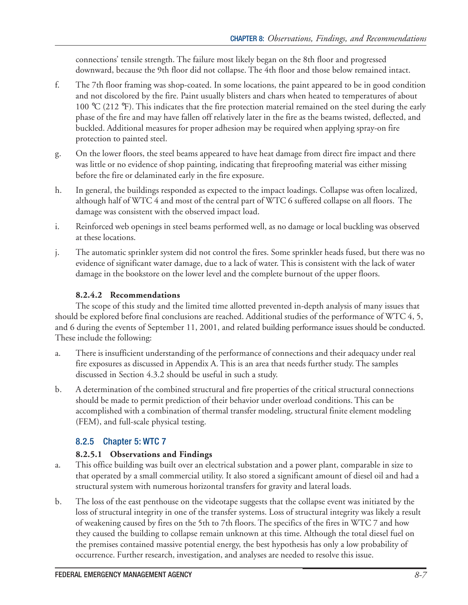connections' tensile strength. The failure most likely began on the 8th floor and progressed downward, because the 9th floor did not collapse. The 4th floor and those below remained intact.

- f. The 7th floor framing was shop-coated. In some locations, the paint appeared to be in good condition and not discolored by the fire. Paint usually blisters and chars when heated to temperatures of about 100 °C (212 °F). This indicates that the fire protection material remained on the steel during the early phase of the fire and may have fallen off relatively later in the fire as the beams twisted, deflected, and buckled. Additional measures for proper adhesion may be required when applying spray-on fire protection to painted steel.
- g. On the lower floors, the steel beams appeared to have heat damage from direct fire impact and there was little or no evidence of shop painting, indicating that fireproofing material was either missing before the fire or delaminated early in the fire exposure.
- h. In general, the buildings responded as expected to the impact loadings. Collapse was often localized, although half of WTC 4 and most of the central part of WTC 6 suffered collapse on all floors. The damage was consistent with the observed impact load.
- i. Reinforced web openings in steel beams performed well, as no damage or local buckling was observed at these locations.
- j. The automatic sprinkler system did not control the fires. Some sprinkler heads fused, but there was no evidence of significant water damage, due to a lack of water. This is consistent with the lack of water damage in the bookstore on the lower level and the complete burnout of the upper floors.

#### **8.2.4.2 Recommendations**

The scope of this study and the limited time allotted prevented in-depth analysis of many issues that should be explored before final conclusions are reached. Additional studies of the performance of WTC 4, 5, and 6 during the events of September 11, 2001, and related building performance issues should be conducted. These include the following:

- a. There is insufficient understanding of the performance of connections and their adequacy under real fire exposures as discussed in Appendix A. This is an area that needs further study. The samples discussed in Section 4.3.2 should be useful in such a study.
- b. A determination of the combined structural and fire properties of the critical structural connections should be made to permit prediction of their behavior under overload conditions. This can be accomplished with a combination of thermal transfer modeling, structural finite element modeling (FEM), and full-scale physical testing.

## 8.2.5 Chapter 5: WTC 7

## **8.2.5.1 Observations and Findings**

- a. This office building was built over an electrical substation and a power plant, comparable in size to that operated by a small commercial utility. It also stored a significant amount of diesel oil and had a structural system with numerous horizontal transfers for gravity and lateral loads.
- b. The loss of the east penthouse on the videotape suggests that the collapse event was initiated by the loss of structural integrity in one of the transfer systems. Loss of structural integrity was likely a result of weakening caused by fires on the 5th to 7th floors. The specifics of the fires in WTC 7 and how they caused the building to collapse remain unknown at this time. Although the total diesel fuel on the premises contained massive potential energy, the best hypothesis has only a low probability of occurrence. Further research, investigation, and analyses are needed to resolve this issue.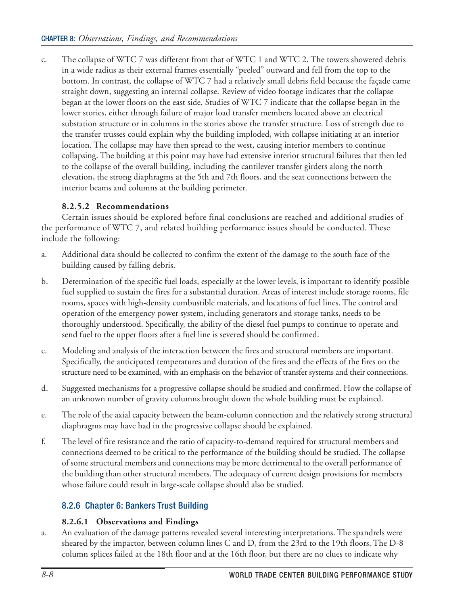c. The collapse of WTC 7 was different from that of WTC 1 and WTC 2. The towers showered debris in a wide radius as their external frames essentially "peeled" outward and fell from the top to the bottom. In contrast, the collapse of WTC 7 had a relatively small debris field because the façade came straight down, suggesting an internal collapse. Review of video footage indicates that the collapse began at the lower floors on the east side. Studies of WTC 7 indicate that the collapse began in the lower stories, either through failure of major load transfer members located above an electrical substation structure or in columns in the stories above the transfer structure. Loss of strength due to the transfer trusses could explain why the building imploded, with collapse initiating at an interior location. The collapse may have then spread to the west, causing interior members to continue collapsing. The building at this point may have had extensive interior structural failures that then led to the collapse of the overall building, including the cantilever transfer girders along the north elevation, the strong diaphragms at the 5th and 7th floors, and the seat connections between the interior beams and columns at the building perimeter.

#### **8.2.5.2 Recommendations**

Certain issues should be explored before final conclusions are reached and additional studies of the performance of WTC 7, and related building performance issues should be conducted. These include the following:

- a. Additional data should be collected to confirm the extent of the damage to the south face of the building caused by falling debris.
- b. Determination of the specific fuel loads, especially at the lower levels, is important to identify possible fuel supplied to sustain the fires for a substantial duration. Areas of interest include storage rooms, file rooms, spaces with high-density combustible materials, and locations of fuel lines. The control and operation of the emergency power system, including generators and storage tanks, needs to be thoroughly understood. Specifically, the ability of the diesel fuel pumps to continue to operate and send fuel to the upper floors after a fuel line is severed should be confirmed.
- c. Modeling and analysis of the interaction between the fires and structural members are important. Specifically, the anticipated temperatures and duration of the fires and the effects of the fires on the structure need to be examined, with an emphasis on the behavior of transfer systems and their connections.
- d. Suggested mechanisms for a progressive collapse should be studied and confirmed. How the collapse of an unknown number of gravity columns brought down the whole building must be explained.
- e. The role of the axial capacity between the beam-column connection and the relatively strong structural diaphragms may have had in the progressive collapse should be explained.
- f. The level of fire resistance and the ratio of capacity-to-demand required for structural members and connections deemed to be critical to the performance of the building should be studied. The collapse of some structural members and connections may be more detrimental to the overall performance of the building than other structural members. The adequacy of current design provisions for members whose failure could result in large-scale collapse should also be studied.

## 8.2.6 Chapter 6: Bankers Trust Building

#### **8.2.6.1 Observations and Findings**

a. An evaluation of the damage patterns revealed several interesting interpretations. The spandrels were sheared by the impactor, between column lines C and D, from the 23rd to the 19th floors. The D-8 column splices failed at the 18th floor and at the 16th floor, but there are no clues to indicate why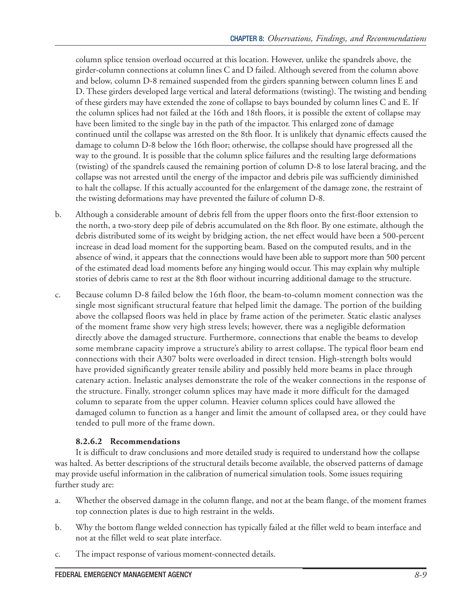column splice tension overload occurred at this location. However, unlike the spandrels above, the girder-column connections at column lines C and D failed. Although severed from the column above and below, column D-8 remained suspended from the girders spanning between column lines E and D. These girders developed large vertical and lateral deformations (twisting). The twisting and bending of these girders may have extended the zone of collapse to bays bounded by column lines C and E. If the column splices had not failed at the 16th and 18th floors, it is possible the extent of collapse may have been limited to the single bay in the path of the impactor. This enlarged zone of damage continued until the collapse was arrested on the 8th floor. It is unlikely that dynamic effects caused the damage to column D-8 below the 16th floor; otherwise, the collapse should have progressed all the way to the ground. It is possible that the column splice failures and the resulting large deformations (twisting) of the spandrels caused the remaining portion of column D-8 to lose lateral bracing, and the collapse was not arrested until the energy of the impactor and debris pile was sufficiently diminished to halt the collapse. If this actually accounted for the enlargement of the damage zone, the restraint of the twisting deformations may have prevented the failure of column D-8.

- b. Although a considerable amount of debris fell from the upper floors onto the first-floor extension to the north, a two-story deep pile of debris accumulated on the 8th floor. By one estimate, although the debris distributed some of its weight by bridging action, the net effect would have been a 500-percent increase in dead load moment for the supporting beam. Based on the computed results, and in the absence of wind, it appears that the connections would have been able to support more than 500 percent of the estimated dead load moments before any hinging would occur. This may explain why multiple stories of debris came to rest at the 8th floor without incurring additional damage to the structure.
- c. Because column D-8 failed below the 16th floor, the beam-to-column moment connection was the single most significant structural feature that helped limit the damage. The portion of the building above the collapsed floors was held in place by frame action of the perimeter. Static elastic analyses of the moment frame show very high stress levels; however, there was a negligible deformation directly above the damaged structure. Furthermore, connections that enable the beams to develop some membrane capacity improve a structure's ability to arrest collapse. The typical floor beam end connections with their A307 bolts were overloaded in direct tension. High-strength bolts would have provided significantly greater tensile ability and possibly held more beams in place through catenary action. Inelastic analyses demonstrate the role of the weaker connections in the response of the structure. Finally, stronger column splices may have made it more difficult for the damaged column to separate from the upper column. Heavier column splices could have allowed the damaged column to function as a hanger and limit the amount of collapsed area, or they could have tended to pull more of the frame down.

#### **8.2.6.2 Recommendations**

It is difficult to draw conclusions and more detailed study is required to understand how the collapse was halted. As better descriptions of the structural details become available, the observed patterns of damage may provide useful information in the calibration of numerical simulation tools. Some issues requiring further study are:

- a. Whether the observed damage in the column flange, and not at the beam flange, of the moment frames top connection plates is due to high restraint in the welds.
- b. Why the bottom flange welded connection has typically failed at the fillet weld to beam interface and not at the fillet weld to seat plate interface.
- c. The impact response of various moment-connected details.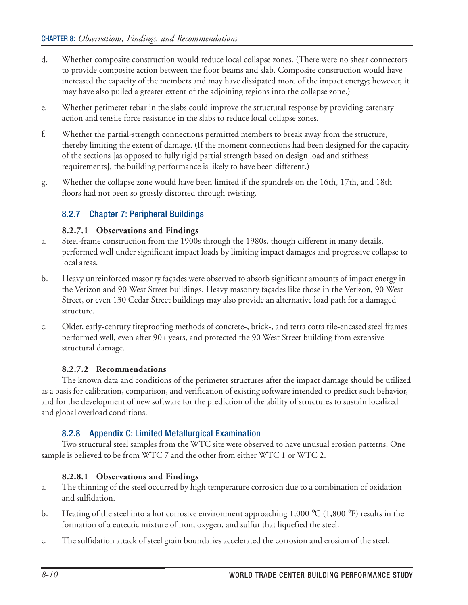- d. Whether composite construction would reduce local collapse zones. (There were no shear connectors to provide composite action between the floor beams and slab. Composite construction would have increased the capacity of the members and may have dissipated more of the impact energy; however, it may have also pulled a greater extent of the adjoining regions into the collapse zone.)
- e. Whether perimeter rebar in the slabs could improve the structural response by providing catenary action and tensile force resistance in the slabs to reduce local collapse zones.
- f. Whether the partial-strength connections permitted members to break away from the structure, thereby limiting the extent of damage. (If the moment connections had been designed for the capacity of the sections [as opposed to fully rigid partial strength based on design load and stiffness requirements], the building performance is likely to have been different.)
- g. Whether the collapse zone would have been limited if the spandrels on the 16th, 17th, and 18th floors had not been so grossly distorted through twisting.

#### 8.2.7 Chapter 7: Peripheral Buildings

#### **8.2.7.1 Observations and Findings**

- a. Steel-frame construction from the 1900s through the 1980s, though different in many details, performed well under significant impact loads by limiting impact damages and progressive collapse to local areas.
- b. Heavy unreinforced masonry façades were observed to absorb significant amounts of impact energy in the Verizon and 90 West Street buildings. Heavy masonry façades like those in the Verizon, 90 West Street, or even 130 Cedar Street buildings may also provide an alternative load path for a damaged structure.
- c. Older, early-century fireproofing methods of concrete-, brick-, and terra cotta tile-encased steel frames performed well, even after 90+ years, and protected the 90 West Street building from extensive structural damage.

#### **8.2.7.2 Recommendations**

The known data and conditions of the perimeter structures after the impact damage should be utilized as a basis for calibration, comparison, and verification of existing software intended to predict such behavior, and for the development of new software for the prediction of the ability of structures to sustain localized and global overload conditions.

## 8.2.8 Appendix C: Limited Metallurgical Examination

Two structural steel samples from the WTC site were observed to have unusual erosion patterns. One sample is believed to be from WTC 7 and the other from either WTC 1 or WTC 2.

#### **8.2.8.1 Observations and Findings**

- a. The thinning of the steel occurred by high temperature corrosion due to a combination of oxidation and sulfidation.
- b. Heating of the steel into a hot corrosive environment approaching 1,000 °C (1,800 °F) results in the formation of a eutectic mixture of iron, oxygen, and sulfur that liquefied the steel.
- c. The sulfidation attack of steel grain boundaries accelerated the corrosion and erosion of the steel.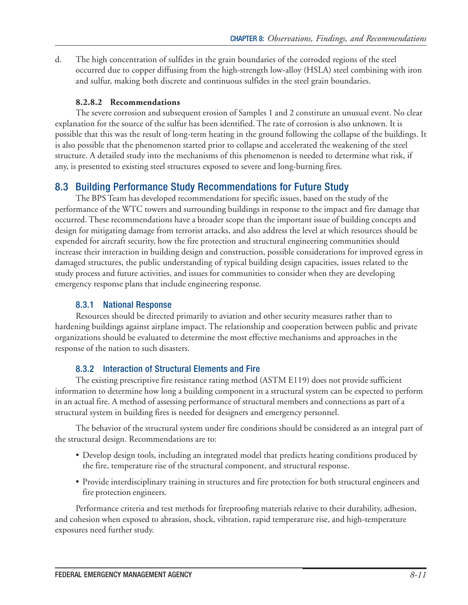d. The high concentration of sulfides in the grain boundaries of the corroded regions of the steel occurred due to copper diffusing from the high-strength low-alloy (HSLA) steel combining with iron and sulfur, making both discrete and continuous sulfides in the steel grain boundaries.

#### **8.2.8.2 Recommendations**

The severe corrosion and subsequent erosion of Samples 1 and 2 constitute an unusual event. No clear explanation for the source of the sulfur has been identified. The rate of corrosion is also unknown. It is possible that this was the result of long-term heating in the ground following the collapse of the buildings. It is also possible that the phenomenon started prior to collapse and accelerated the weakening of the steel structure. A detailed study into the mechanisms of this phenomenon is needed to determine what risk, if any, is presented to existing steel structures exposed to severe and long-burning fires.

## 8.3 Building Performance Study Recommendations for Future Study

The BPS Team has developed recommendations for specific issues, based on the study of the performance of the WTC towers and surrounding buildings in response to the impact and fire damage that occurred. These recommendations have a broader scope than the important issue of building concepts and design for mitigating damage from terrorist attacks, and also address the level at which resources should be expended for aircraft security, how the fire protection and structural engineering communities should increase their interaction in building design and construction, possible considerations for improved egress in damaged structures, the public understanding of typical building design capacities, issues related to the study process and future activities, and issues for communities to consider when they are developing emergency response plans that include engineering response.

## 8.3.1 National Response

Resources should be directed primarily to aviation and other security measures rather than to hardening buildings against airplane impact. The relationship and cooperation between public and private organizations should be evaluated to determine the most effective mechanisms and approaches in the response of the nation to such disasters.

#### 8.3.2 Interaction of Structural Elements and Fire

The existing prescriptive fire resistance rating method (ASTM E119) does not provide sufficient information to determine how long a building component in a structural system can be expected to perform in an actual fire. A method of assessing performance of structural members and connections as part of a structural system in building fires is needed for designers and emergency personnel.

The behavior of the structural system under fire conditions should be considered as an integral part of the structural design. Recommendations are to:

- Develop design tools, including an integrated model that predicts heating conditions produced by the fire, temperature rise of the structural component, and structural response.
- Provide interdisciplinary training in structures and fire protection for both structural engineers and fire protection engineers.

Performance criteria and test methods for fireproofing materials relative to their durability, adhesion, and cohesion when exposed to abrasion, shock, vibration, rapid temperature rise, and high-temperature exposures need further study.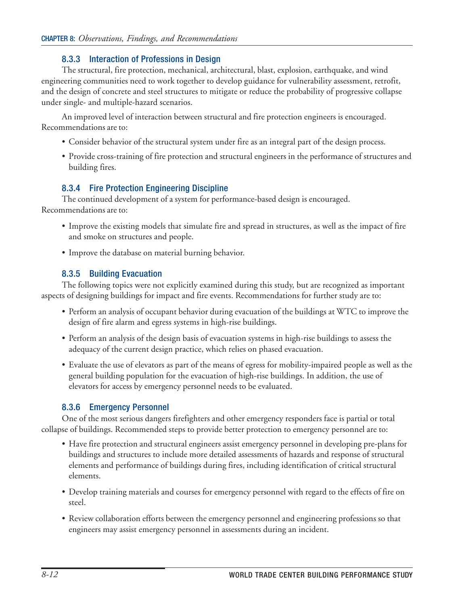#### 8.3.3 Interaction of Professions in Design

The structural, fire protection, mechanical, architectural, blast, explosion, earthquake, and wind engineering communities need to work together to develop guidance for vulnerability assessment, retrofit, and the design of concrete and steel structures to mitigate or reduce the probability of progressive collapse under single- and multiple-hazard scenarios.

An improved level of interaction between structural and fire protection engineers is encouraged. Recommendations are to:

- Consider behavior of the structural system under fire as an integral part of the design process.
- Provide cross-training of fire protection and structural engineers in the performance of structures and building fires.

#### 8.3.4 Fire Protection Engineering Discipline

The continued development of a system for performance-based design is encouraged. Recommendations are to:

- Improve the existing models that simulate fire and spread in structures, as well as the impact of fire and smoke on structures and people.
- Improve the database on material burning behavior.

#### 8.3.5 Building Evacuation

The following topics were not explicitly examined during this study, but are recognized as important aspects of designing buildings for impact and fire events. Recommendations for further study are to:

- Perform an analysis of occupant behavior during evacuation of the buildings at WTC to improve the design of fire alarm and egress systems in high-rise buildings.
- Perform an analysis of the design basis of evacuation systems in high-rise buildings to assess the adequacy of the current design practice, which relies on phased evacuation.
- Evaluate the use of elevators as part of the means of egress for mobility-impaired people as well as the general building population for the evacuation of high-rise buildings. In addition, the use of elevators for access by emergency personnel needs to be evaluated.

## 8.3.6 Emergency Personnel

One of the most serious dangers firefighters and other emergency responders face is partial or total collapse of buildings. Recommended steps to provide better protection to emergency personnel are to:

- Have fire protection and structural engineers assist emergency personnel in developing pre-plans for buildings and structures to include more detailed assessments of hazards and response of structural elements and performance of buildings during fires, including identification of critical structural elements.
- Develop training materials and courses for emergency personnel with regard to the effects of fire on steel.
- Review collaboration efforts between the emergency personnel and engineering professions so that engineers may assist emergency personnel in assessments during an incident.